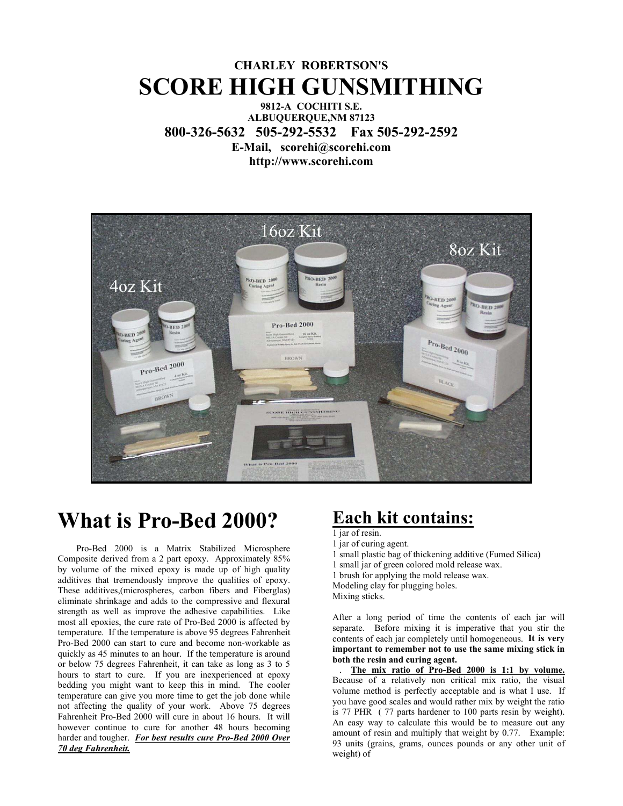### **CHARLEY ROBERTSON'S SCORE HIGH GUNSMITHING**

#### **9812-A COCHITI S.E. ALBUQUERQUE,NM 87123 800-326-5632 505-292-5532 Fax 505-292-2592 E-Mail, scorehi@scorehi.com http://www.scorehi.com**



# **What is Pro-Bed 2000?**

 Pro-Bed 2000 is a Matrix Stabilized Microsphere Composite derived from a 2 part epoxy. Approximately 85% by volume of the mixed epoxy is made up of high quality additives that tremendously improve the qualities of epoxy. These additives,(microspheres, carbon fibers and Fiberglas) eliminate shrinkage and adds to the compressive and flexural strength as well as improve the adhesive capabilities. Like most all epoxies, the cure rate of Pro-Bed 2000 is affected by temperature. If the temperature is above 95 degrees Fahrenheit Pro-Bed 2000 can start to cure and become non-workable as quickly as 45 minutes to an hour. If the temperature is around or below 75 degrees Fahrenheit, it can take as long as 3 to 5 hours to start to cure. If you are inexperienced at epoxy bedding you might want to keep this in mind. The cooler temperature can give you more time to get the job done while not affecting the quality of your work. Above 75 degrees Fahrenheit Pro-Bed 2000 will cure in about 16 hours. It will however continue to cure for another 48 hours becoming harder and tougher. *For best results cure Pro-Bed 2000 Over 70 deg Fahrenheit.*

## **Each kit contains:**

1 jar of resin.

1 jar of curing agent. 1 small plastic bag of thickening additive (Fumed Silica) 1 small jar of green colored mold release wax. 1 brush for applying the mold release wax. Modeling clay for plugging holes. Mixing sticks.

After a long period of time the contents of each jar will separate. Before mixing it is imperative that you stir the contents of each jar completely until homogeneous. **It is very important to remember not to use the same mixing stick in both the resin and curing agent.** 

 . **The mix ratio of Pro-Bed 2000 is 1:1 by volume.** Because of a relatively non critical mix ratio, the visual volume method is perfectly acceptable and is what I use. If you have good scales and would rather mix by weight the ratio is 77 PHR ( 77 parts hardener to 100 parts resin by weight). An easy way to calculate this would be to measure out any amount of resin and multiply that weight by 0.77. Example: 93 units (grains, grams, ounces pounds or any other unit of weight) of